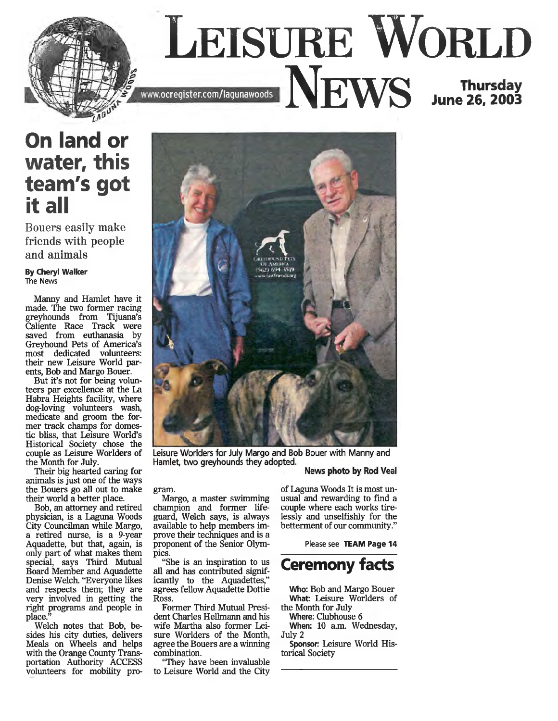

## **On land or water, this team's got it all**

**Bouers easily make friends with people and animals**

**By Cheryl Walker** The News

Manny and Hamlet have it made. The two former racing greyhounds from Tijuana's Caliente Race Track were saved from euthanasia by Greyhound Pets of America's most dedicated volunteers: their new Leisure World parents, Bob and Margo Bouer.

But it's not for being volunteers par excellence at the La Habra Heights facility, where dog-loving volunteers wash, medicate and groom the former track champs for domestic bliss, that Leisure World's Historical Society chose the couple as Leisure Worlders of the Month for July.

Their big hearted caring for animals is just one of the ways the Bouers go all out to make their world a better place.

Bob, an attorney and retired physician, is a Laguna Woods City Councilman while Margo, a retired nurse, is a 9-year Aquadette, but that, again, is only part of what makes them special, says Third Mutual Board Member and Aquadette Denise Welch. "Everyone likes and respects them; they are very involved in getting the right programs and people in place."

Welch notes that Bob, besides his city duties, delivers Meals on Wheels and helps with the Orange County Transportation Authority ACCESS volunteers for mobility pro-



Leisure Worlders for July Margo and Bob Bouer with Manny and Hamlet, two greyhounds they adopted. News photo by Rod Veal

gram.

Margo, a master swimming champion and former lifeguard, Welch says, is always available to help members improve their techniques and is a proponent of the Senior Olympics.

"She is an inspiration to us all and has contributed significantly to the Aquadettes," agrees fellow Aquadette Dottie Ross.

Former Third Mutual President Charles Hellmann and his wife Martha also former Leisure Worlders of the Month, agree the Bouers are a winning combination.

"They have been invaluable to Leisure World and the City

of Laguna Woods It is most unusual and rewarding to find a couple where each works tirelessly and unselfishly for the betterment of our community."

Please see **TEAM Page 14**

## **Ceremony facts**

**Who:** Bob and Margo Bouer **What:** Leisure Worlders of the Month for July

**Where:** Clubhouse 6 **When:** 10 a.m. Wednesday, July 2

**Sponsor:** Leisure World Historical Society